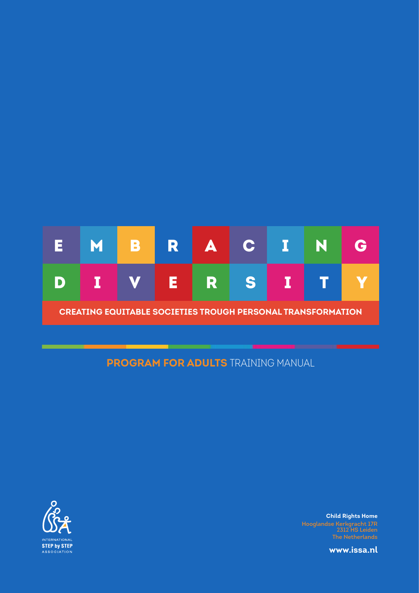

# **PROGRAM FOR ADULTS** TRAINING MANUAL



**Child Rights Home Hooglandse Kerkgracht 17R 2312 HS Leiden**

**www.issa.nl**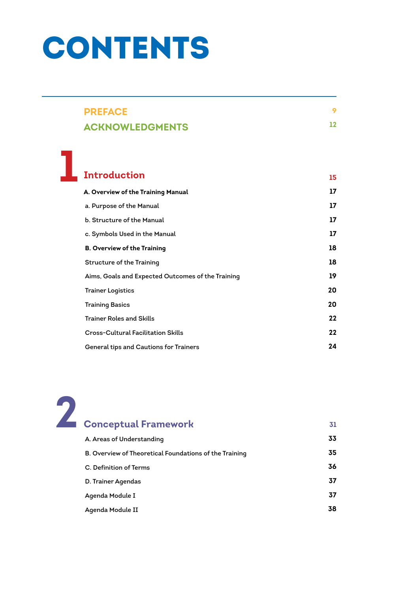# **CONTENTS**

**1**

| <b>PREFACE</b>         |    |
|------------------------|----|
| <b>ACKNOWLEDGMENTS</b> | 12 |

**15**

**17**

# **Introduction A. Overview of the Training Manual**

| a. Purpose of the Manual                          | 17 |
|---------------------------------------------------|----|
| b. Structure of the Manual                        | 17 |
| c. Symbols Used in the Manual                     | 17 |
| <b>B. Overview of the Training</b>                | 18 |
| <b>Structure of the Training</b>                  | 18 |
| Aims, Goals and Expected Outcomes of the Training | 19 |
| Trainer Logistics                                 | 20 |
| Training Basics                                   | 20 |
| Trainer Roles and Skills                          | 22 |
| Cross-Cultural Facilitation Skills                | 22 |
| General tips and Cautions for Trainers            | 24 |

| <b>Conceptual Framework</b>                            | 31 |
|--------------------------------------------------------|----|
| A. Areas of Understanding                              | 33 |
| B. Overview of Theoretical Foundations of the Training | 35 |
| C. Definition of Terms                                 | 36 |
| D. Trainer Agendas                                     | 37 |
| Agenda Module I                                        | 37 |
| Agenda Module II                                       | 38 |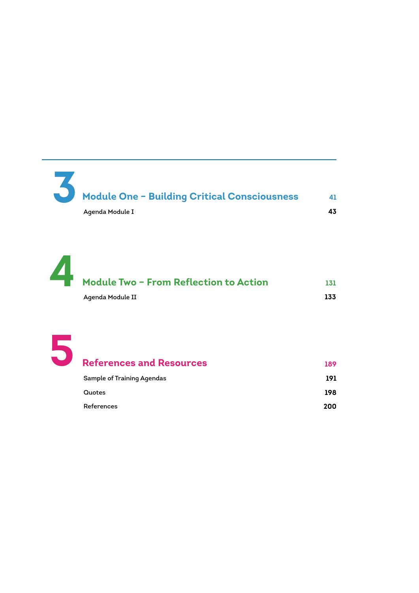**Module One – Building Critical Consciousness Agenda Module I 3 41 43**

**Module Two – From Reflection to Action Agenda Module II 4 131 133**



| <b>References and Resources</b>   | 189 |
|-----------------------------------|-----|
| <b>Sample of Training Agendas</b> | 191 |
| Quotes                            | 198 |
| References                        | 200 |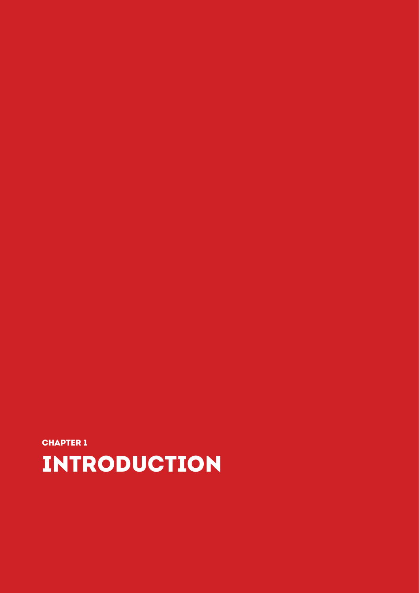# **INTRODUCTION**

CHAPTER 1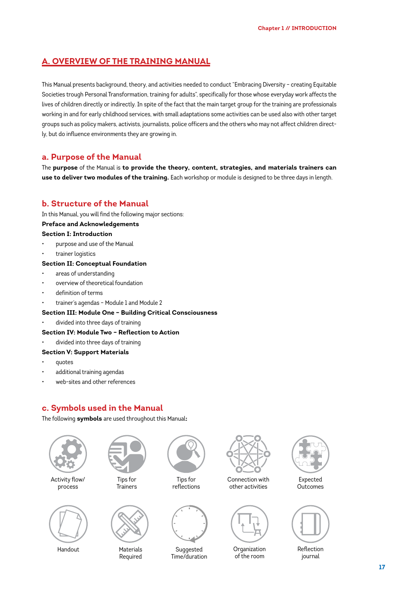# **A. OVERVIEW OF THE TRAINING MANUAL**

This Manual presents background, theory, and activities needed to conduct "Embracing Diversity – creating Equitable Societies trough Personal Transformation, training for adults", specifically for those whose everyday work affects the lives of children directly or indirectly. In spite of the fact that the main target group for the training are professionals working in and for early childhood services, with small adaptations some activities can be used also with other target groups such as policy makers, activists, journalists, police officers and the others who may not affect children directly, but do influence environments they are growing in.

# **a. Purpose of the Manual**

The **purpose** of the Manual is **to provide the theory, content, strategies, and materials trainers can use to deliver two modules of the training.** Each workshop or module is designed to be three days in length.

# **b. Structure of the Manual**

In this Manual, you will find the following major sections:

#### **Preface and Acknowledgements**

#### **Section I: Introduction**

- purpose and use of the Manual
- trainer logistics

#### **Section II: Conceptual Foundation**

- areas of understanding
- overview of theoretical foundation
- definition of terms
- trainer's agendas Module 1 and Module 2

#### **Section III: Module One – Building Critical Consciousness**

• divided into three days of training

#### **Section IV: Module Two – Reflection to Action**

• divided into three days of training

#### **Section V: Support Materials**

- quotes
- additional training agendas
- web-sites and other references

# **c. Symbols used in the Manual**

The following **symbols** are used throughout this Manual**:**



Handout

Materials Required

**Suggested** Time/duration

**Organization** of the room

Reflection journal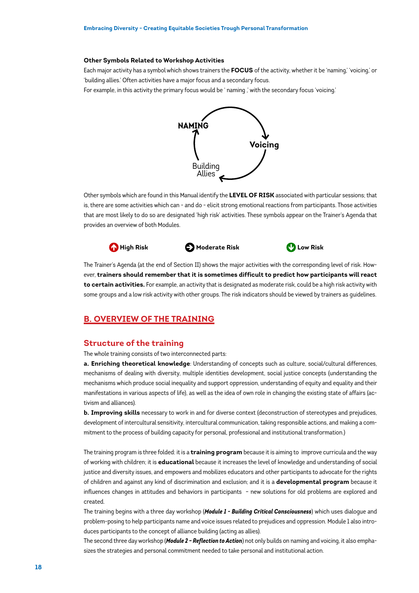#### **Other Symbols Related to Workshop Activities**

Each major activity has a symbol which shows trainers the **FOCUS** of the activity, whether it be 'naming,' 'voicing,' or 'building allies.' Often activities have a major focus and a secondary focus.

For example, in this activity the primary focus would be ' naming ,' with the secondary focus 'voicing.'



Other symbols which are found in this Manual identify the **LEVEL OF RISK** associated with particular sessions; that is, there are some activities which can - and do - elicit strong emotional reactions from participants. Those activities that are most likely to do so are designated 'high risk' activities. These symbols appear on the Trainer's Agenda that provides an overview of both Modules.





The Trainer's Agenda (at the end of Section II) shows the major activities with the corresponding level of risk. However, **trainers should remember that it is sometimes difficult to predict how participants will react to certain activities.** For example, an activity that is designated as moderate risk, could be a high risk activity with some groups and a low risk activity with other groups. The risk indicators should be viewed by trainers as guidelines.

# **B. OVERVIEW OF THE TRAINING**

#### **Structure of the training**

The whole training consists of two interconnected parts:

**a. Enriching theoretical knowledge**: Understanding of concepts such as culture, social/cultural differences, mechanisms of dealing with diversity, multiple identities development, social justice concepts (understanding the mechanisms which produce social inequality and support oppression, understanding of equity and equality and their manifestations in various aspects of life), as well as the idea of own role in changing the existing state of affairs (activism and alliances).

**b. Improving skills** necessary to work in and for diverse context (deconstruction of stereotypes and prejudices, development of intercultural sensitivity, intercultural communication, taking responsible actions, and making a commitment to the process of building capacity for personal, professional and institutional transformation.)

The training program is three folded: it is a **training program** because it is aiming to improve curricula and the way of working with children; it is **educational** because it increases the level of knowledge and understanding of social justice and diversity issues, and empowers and mobilizes educators and other participants to advocate for the rights of children and against any kind of discrimination and exclusion; and it is a **developmental program** because it influences changes in attitudes and behaviors in participants – new solutions for old problems are explored and created.

The training begins with a three day workshop (*Module 1 - Building Critical Consciousness*) which uses dialogue and problem-posing to help participants name and voice issues related to prejudices and oppression. Module 1 also introduces participants to the concept of alliance building (acting as allies).

The second three day workshop (*Module 2 – Reflection to Action*) not only builds on naming and voicing, it also emphasizes the strategies and personal commitment needed to take personal and institutional action.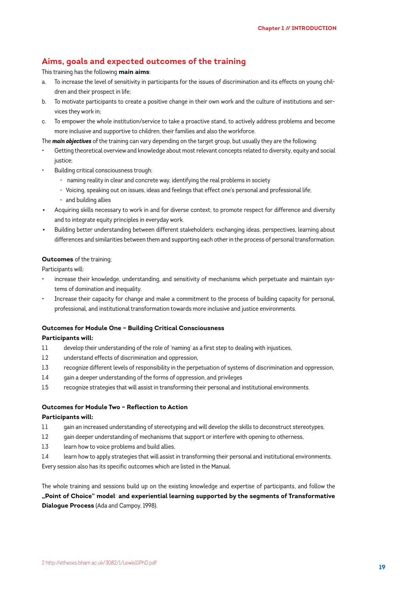# **Aims, goals and expected outcomes of the training**

#### This training has the following **main aims**:

- a. To increase the level of sensitivity in participants for the issues of discrimination and its effects on young children and their prospect in life;
- b. To motivate participants to create a positive change in their own work and the culture of institutions and services they work in;
- c. To empower the whole institution/service to take a proactive stand, to actively address problems and become more inclusive and supportive to children, their families and also the workforce.

The *main objectives* of the training can vary depending on the target group, but usually they are the following:

- Getting theoretical overview and knowledge about most relevant concepts related to diversity, equity and social justice<sup>.</sup>
- Building critical consciousness trough:
	- naming reality in clear and concrete way, identifying the real problems in society
	- Voicing, speaking out on issues, ideas and feelings that effect one's personal and professional life;
	- and building allies
- Acquiring skills necessary to work in and for diverse context; to promote respect for difference and diversity and to integrate equity principles in everyday work.
- Building better understanding between different stakeholders: exchanging ideas, perspectives, learning about differences and similarities between them and supporting each other in the process of personal transformation.

#### **Outcomes** of the training;

Participants will:

- increase their knowledge, understanding, and sensitivity of mechanisms which perpetuate and maintain systems of domination and inequality.
- Increase their capacity for change and make a commitment to the process of building capacity for personal, professional, and institutional transformation towards more inclusive and justice environments.

#### **Outcomes for Module One – Building Critical Consciousness**

#### **Participants will:**

- 1.1 develop their understanding of the role of 'naming' as a first step to dealing with injustices,
- 1.2 understand effects of discrimination and oppression,
- 1.3 recognize different levels of responsibility in the perpetuation of systems of discrimination and oppression,
- 1.4 gain a deeper understanding of the forms of oppression, and privileges
- 1.5 recognize strategies that will assist in transforming their personal and institutional environments.

#### **Outcomes for Module Two – Reflection to Action**

#### **Participants will:**

- 1.1 gain an increased understanding of stereotyping and will develop the skills to deconstruct stereotypes,
- 1.2 gain deeper understanding of mechanisms that support or interfere with opening to otherness,
- 1.3 learn how to voice problems and build allies,
- 1.4 learn how to apply strategies that will assist in transforming their personal and institutional environments. Every session also has its specific outcomes which are listed in the Manual.

The whole training and sessions build up on the existing knowledge and expertise of participants, and follow the **"Point of Choice" model**<sup>2</sup>  **and experiential learning supported by the segments of Transformative Dialogue Process** (Ada and Campoy, 1998).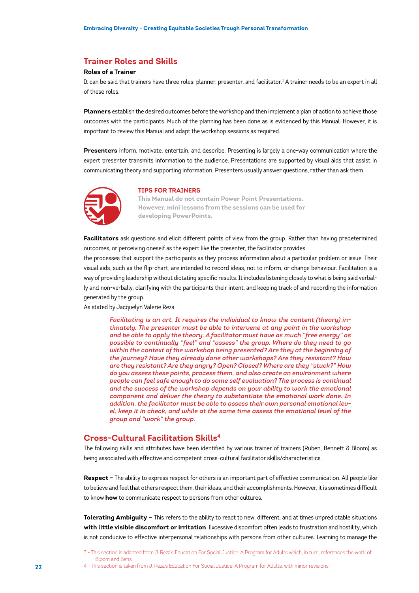# **Trainer Roles and Skills**

#### **Roles of a Trainer**

It can be said that trainers have three roles: planner, presenter, and facilitator.<sup>3</sup> A trainer needs to be an expert in all of these roles.

**Planners** establish the desired outcomes before the workshop and then implement a plan of action to achieve those outcomes with the participants. Much of the planning has been done as is evidenced by this Manual. However, it is important to review this Manual and adapt the workshop sessions as required.

**Presenters** inform, motivate, entertain, and describe. Presenting is largely a one-way communication where the expert presenter transmits information to the audience. Presentations are supported by visual aids that assist in communicating theory and supporting information. Presenters usually answer questions, rather than ask them.



#### **TIPS FOR TRAINERS**

**This Manual do not contain Power Point Presentations. However, mini lessons from the sessions can be used for developing PowerPoints.**

**Facilitators** ask questions and elicit different points of view from the group. Rather than having predetermined outcomes, or perceiving oneself as the expert like the presenter, the facilitator provides

the processes that support the participants as they process information about a particular problem or issue. Their visual aids, such as the flip-chart, are intended to record ideas, not to inform, or change behaviour. Facilitation is a way of providing leadership without dictating specific results. It includes listening closely to what is being said verbally and non-verbally, clarifying with the participants their intent, and keeping track of and recording the information generated by the group.

As stated by Jacquelyn Valerie Reza:

*Facilitating is an art. It requires the individual to know the content (theory) intimately. The presenter must be able to intervene at any point in the workshop and be able to apply the theory. A facilitator must have as much "free energy" as possible to continually "feel" and "assess" the group. Where do they need to go*  within the context of the workshop being presented? Are they at the beginning of *the journey? Have they already done other workshops? Are they resistant? How are they resistant? Are they angry? Open? Closed? Where are they "stuck?" How do you assess these points, process them, and also create an environment where people can feel safe enough to do some self evaluation? The process is continual and the success of the workshop depends on your ability to work the emotional component and deliver the theory to substantiate the emotional work done. In addition, the facilitator must be able to assess their own personal emotional level, keep it in check, and while at the same time assess the emotional level of the group and "work" the group.*

#### **Cross-Cultural Facilitation Skills4**

The following skills and attributes have been identified by various trainer of trainers (Ruben, Bennett  $\delta$  Bloom) as being associated with effective and competent cross-cultural facilitator skills/characteristics.

**Respect –** The ability to express respect for others is an important part of effective communication. All people like to believe and feel that others respect them, their ideas, and their accomplishments. However, it is sometimes difficult to know **how** to communicate respect to persons from other cultures.

**Tolerating Ambiguity –** This refers to the ability to react to new, different, and at times unpredictable situations **with little visible discomfort or irritation**. Excessive discomfort often leads to frustration and hostility, which is not conducive to effective interpersonal relationships with persons from other cultures. Learning to manage the

3 - This section is adapted from J. Reza's Education For Social Justice: A Program for Adults which, in turn, references the work of Bloom and Bens.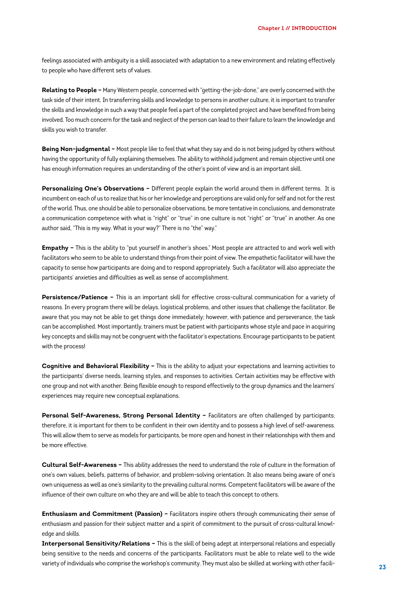feelings associated with ambiguity is a skill associated with adaptation to a new environment and relating effectively to people who have different sets of values.

**Relating to People –** Many Western people, concerned with "getting-the-job-done," are overly concerned with the task side of their intent. In transferring skills and knowledge to persons in another culture, it is important to transfer the skills and knowledge in such a way that people feel a part of the completed project and have benefited from being involved. Too much concern for the task and neglect of the person can lead to their failure to learn the knowledge and skills you wish to transfer.

**Being Non-judgmental –** Most people like to feel that what they say and do is not being judged by others without having the opportunity of fully explaining themselves. The ability to withhold judgment and remain objective until one has enough information requires an understanding of the other's point of view and is an important skill.

**Personalizing One's Observations –** Different people explain the world around them in different terms. It is incumbent on each of us to realize that his or her knowledge and perceptions are valid only for self and not for the rest of the world. Thus, one should be able to personalize observations, be more tentative in conclusions, and demonstrate a communication competence with what is "right" or "true" in one culture is not "right" or "true" in another. As one author said, "This is my way. What is your way?" There is no "the" way."

**Empathy –** This is the ability to "put yourself in another's shoes." Most people are attracted to and work well with facilitators who seem to be able to understand things from their point of view. The empathetic facilitator will have the capacity to sense how participants are doing and to respond appropriately. Such a facilitator will also appreciate the participants' anxieties and difficulties as well as sense of accomplishment.

**Persistence/Patience –** This is an important skill for effective cross-cultural communication for a variety of reasons. In every program there will be delays, logistical problems, and other issues that challenge the facilitator. Be aware that you may not be able to get things done immediately; however, with patience and perseverance, the task can be accomplished. Most importantly, trainers must be patient with participants whose style and pace in acquiring key concepts and skills may not be congruent with the facilitator's expectations. Encourage participants to be patient with the process!

**Cognitive and Behavioral Flexibility –** This is the ability to adjust your expectations and learning activities to the participants' diverse needs, learning styles, and responses to activities. Certain activities may be effective with one group and not with another. Being flexible enough to respond effectively to the group dynamics and the learners' experiences may require new conceptual explanations.

**Personal Self-Awareness, Strong Personal Identity - Facilitators are often challenged by participants;** therefore, it is important for them to be confident in their own identity and to possess a high level of self-awareness. This will allow them to serve as models for participants, be more open and honest in their relationships with them and be more effective.

**Cultural Self-Awareness –** This ability addresses the need to understand the role of culture in the formation of one's own values, beliefs, patterns of behavior, and problem-solving orientation. It also means being aware of one's own uniqueness as well as one's similarity to the prevailing cultural norms. Competent facilitators will be aware of the influence of their own culture on who they are and will be able to teach this concept to others.

**Enthusiasm and Commitment (Passion) –** Facilitators inspire others through communicating their sense of enthusiasm and passion for their subject matter and a spirit of commitment to the pursuit of cross-cultural knowledge and skills.

**Interpersonal Sensitivity/Relations –** This is the skill of being adept at interpersonal relations and especially being sensitive to the needs and concerns of the participants. Facilitators must be able to relate well to the wide variety of individuals who comprise the workshop's community. They must also be skilled at working with other facili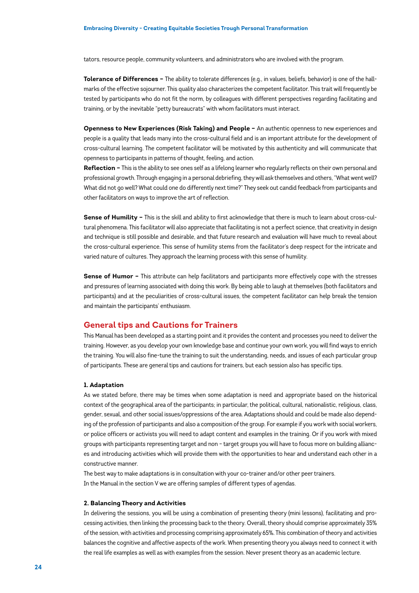tators, resource people, community volunteers, and administrators who are involved with the program.

**Tolerance of Differences –** The ability to tolerate differences (e.g., in values, beliefs, behavior) is one of the hallmarks of the effective sojourner. This quality also characterizes the competent facilitator. This trait will frequently be tested by participants who do not fit the norm, by colleagues with different perspectives regarding facilitating and training, or by the inevitable "petty bureaucrats" with whom facilitators must interact.

**Openness to New Experiences (Risk Taking) and People –** An authentic openness to new experiences and people is a quality that leads many into the cross-cultural field and is an important attribute for the development of cross-cultural learning. The competent facilitator will be motivated by this authenticity and will communicate that openness to participants in patterns of thought, feeling, and action.

**Reflection –** This is the ability to see ones self as a lifelong learner who regularly reflects on their own personal and professional growth. Through engaging in a personal debriefing, they will ask themselves and others, "What went well? What did not go well? What could one do differently next time?" They seek out candid feedback from participants and other facilitators on ways to improve the art of reflection.

**Sense of Humility –** This is the skill and ability to first acknowledge that there is much to learn about cross-cultural phenomena. This facilitator will also appreciate that facilitating is not a perfect science, that creativity in design and technique is still possible and desirable, and that future research and evaluation will have much to reveal about the cross-cultural experience. This sense of humility stems from the facilitator's deep respect for the intricate and varied nature of cultures. They approach the learning process with this sense of humility.

**Sense of Humor –** This attribute can help facilitators and participants more effectively cope with the stresses and pressures of learning associated with doing this work. By being able to laugh at themselves (both facilitators and participants) and at the peculiarities of cross-cultural issues, the competent facilitator can help break the tension and maintain the participants' enthusiasm.

#### **General tips and Cautions for Trainers**

This Manual has been developed as a starting point and it provides the content and processes you need to deliver the training. However, as you develop your own knowledge base and continue your own work, you will find ways to enrich the training. You will also fine-tune the training to suit the understanding, needs, and issues of each particular group of participants. These are general tips and cautions for trainers, but each session also has specific tips.

#### **1. Adaptation**

As we stated before, there may be times when some adaptation is need and appropriate based on the historical context of the geographical area of the participants; in particular, the political, cultural, nationalistic, religious, class, gender, sexual, and other social issues/oppressions of the area. Adaptations should and could be made also depending of the profession of participants and also a composition of the group. For example if you work with social workers, or police officers or activists you will need to adapt content and examples in the training. Or if you work with mixed groups with participants representing target and non – target groups you will have to focus more on building alliances and introducing activities which will provide them with the opportunities to hear and understand each other in a constructive manner.

The best way to make adaptations is in consultation with your co-trainer and/or other peer trainers. In the Manual in the section V we are offering samples of different types of agendas.

#### **2. Balancing Theory and Activities**

In delivering the sessions, you will be using a combination of presenting theory (mini lessons), facilitating and processing activities, then linking the processing back to the theory. Overall, theory should comprise approximately 35% of the session, with activities and processing comprising approximately 65%. This combination of theory and activities balances the cognitive and affective aspects of the work. When presenting theory you always need to connect it with the real life examples as well as with examples from the session. Never present theory as an academic lecture.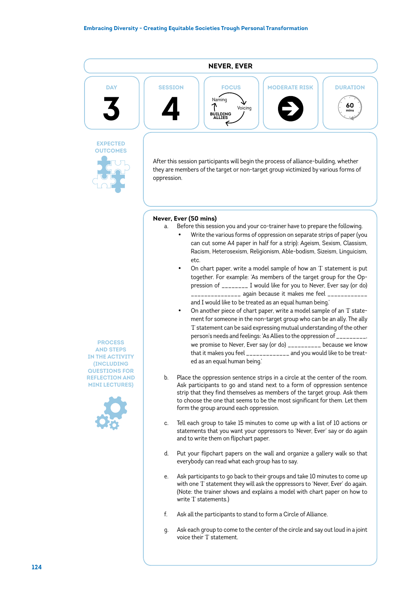

## **Never, Ever (50 mins)**

- a. Before this session you and your co-trainer have to prepare the following.
	- Write the various forms of oppression on separate strips of paper (you can cut some A4 paper in half for a strip): Ageism, Sexism, Classism, Racism, Heterosexism, Religionism, Able-bodism, Sizeism, Linguicism, etc.
	- On chart paper, write a model sample of how an 'I' statement is put together. For example: 'As members of the target group for the Oppression of \_\_\_\_\_\_\_\_ I would like for you to Never, Ever say (or do) \_\_\_\_\_\_\_\_\_\_\_\_\_\_\_\_\_\_ again because it makes me feel \_\_\_\_\_\_\_\_\_\_\_\_\_ and I would like to be treated as an equal human being.'
	- On another piece of chart paper, write a model sample of an 'I' statement for someone in the non-target group who can be an ally. The ally 'I' statement can be said expressing mutual understanding of the other person's needs and feelings: 'As Allies to the oppression of \_\_\_\_\_\_\_\_\_, we promise to Never, Ever say (or do) \_\_\_\_\_\_\_\_\_\_ because we know that it makes you feel \_\_\_\_\_\_\_\_\_\_\_\_\_ and you would like to be treated as an equal human being.'
- b. Place the oppression sentence strips in a circle at the center of the room. Ask participants to go and stand next to a form of oppression sentence strip that they find themselves as members of the target group. Ask them to choose the one that seems to be the most significant for them. Let them form the group around each oppression.
- c. Tell each group to take 15 minutes to come up with a list of 10 actions or statements that you want your oppressors to 'Never, Ever' say or do again and to write them on flipchart paper.
- d. Put your flipchart papers on the wall and organize a gallery walk so that everybody can read what each group has to say.
- e. Ask participants to go back to their groups and take 10 minutes to come up with one 'I' statement they will ask the oppressors to 'Never, Ever' do again. (Note: the trainer shows and explains a model with chart paper on how to write 'I' statements.)
- f. Ask all the participants to stand to form a Circle of Alliance.
- g. Ask each group to come to the center of the circle and say out loud in a joint voice their 'I' statement.

**PROCESS AND STEPS IN THE ACTIVITY (INCLUDING QUESTIONS FOR REFLECTION AND MINI LECTURES)**

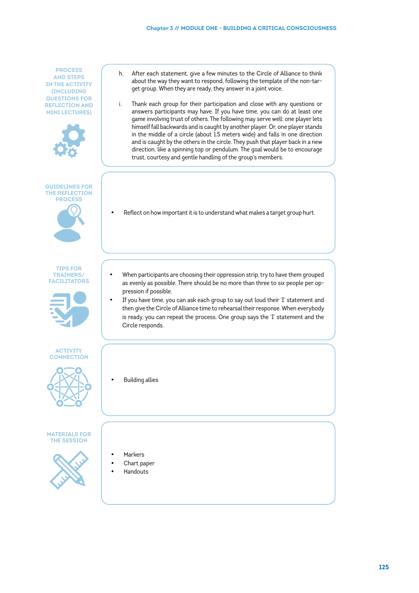**PROCESS AND STEPS IN THE ACTIVITY (INCLUDING QUESTIONS FOR REFLECTION AND MINI LECTURES)**



#### **GUIDELINES FOR THE REFLECTION PROCESS**



**TIPS FOR TRAINERS/ FACILITATORS**







**MATERIALS FOR THE SESSION**



- h. After each statement, give a few minutes to the Circle of Alliance to think about the way they want to respond, following the template of the non-target group. When they are ready, they answer in a joint voice.
- i. Thank each group for their participation and close with any questions or answers participants may have. If you have time, you can do at least one game involving trust of others. The following may serve well: one player lets himself fall backwards and is caught by another player. Or, one player stands in the middle of a circle (about 1.5 meters wide) and falls in one direction and is caught by the others in the circle. They push that player back in a new direction, like a spinning top or pendulum. The goal would be to encourage trust, courtesy and gentle handling of the group's members.
- Reflect on how important it is to understand what makes a target group hurt.
- When participants are choosing their oppression strip, try to have them grouped as evenly as possible. There should be no more than three to six people per oppression if possible.
- If you have time, you can ask each group to say out loud their 'I' statement and then give the Circle of Alliance time to rehearsal their response. When everybody is ready, you can repeat the process. One group says the 'I' statement and the Circle responds.

**Building allies** 

- 
- **Markers** Chart paper
- **Handouts**